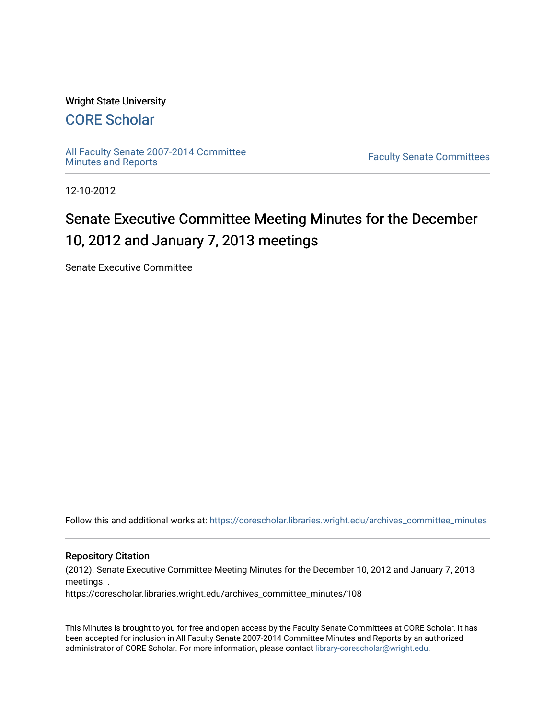## Wright State University

# [CORE Scholar](https://corescholar.libraries.wright.edu/)

[All Faculty Senate 2007-2014 Committee](https://corescholar.libraries.wright.edu/archives_committee_minutes)

**Faculty Senate Committees** 

12-10-2012

# Senate Executive Committee Meeting Minutes for the December 10, 2012 and January 7, 2013 meetings

Senate Executive Committee

Follow this and additional works at: [https://corescholar.libraries.wright.edu/archives\\_committee\\_minutes](https://corescholar.libraries.wright.edu/archives_committee_minutes?utm_source=corescholar.libraries.wright.edu%2Farchives_committee_minutes%2F108&utm_medium=PDF&utm_campaign=PDFCoverPages) 

#### Repository Citation

(2012). Senate Executive Committee Meeting Minutes for the December 10, 2012 and January 7, 2013 meetings. .

https://corescholar.libraries.wright.edu/archives\_committee\_minutes/108

This Minutes is brought to you for free and open access by the Faculty Senate Committees at CORE Scholar. It has been accepted for inclusion in All Faculty Senate 2007-2014 Committee Minutes and Reports by an authorized administrator of CORE Scholar. For more information, please contact [library-corescholar@wright.edu.](mailto:library-corescholar@wright.edu)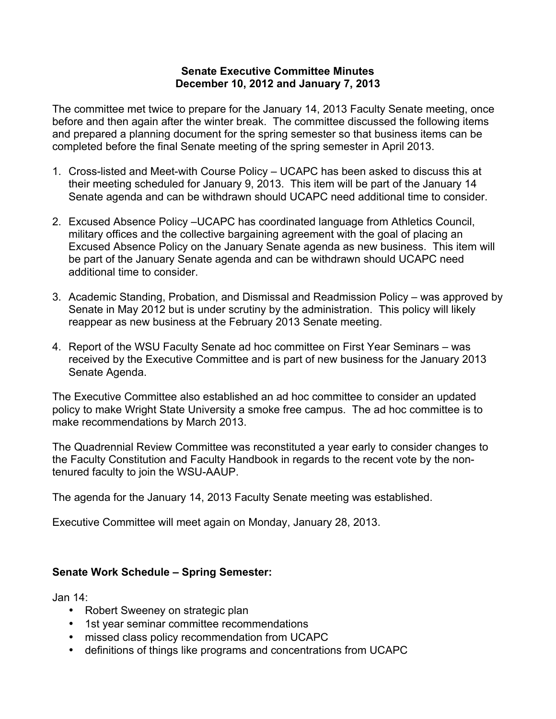## **Senate Executive Committee Minutes December 10, 2012 and January 7, 2013**

The committee met twice to prepare for the January 14, 2013 Faculty Senate meeting, once before and then again after the winter break. The committee discussed the following items and prepared a planning document for the spring semester so that business items can be completed before the final Senate meeting of the spring semester in April 2013.

- 1. Cross-listed and Meet-with Course Policy UCAPC has been asked to discuss this at their meeting scheduled for January 9, 2013. This item will be part of the January 14 Senate agenda and can be withdrawn should UCAPC need additional time to consider.
- 2. Excused Absence Policy –UCAPC has coordinated language from Athletics Council, military offices and the collective bargaining agreement with the goal of placing an Excused Absence Policy on the January Senate agenda as new business. This item will be part of the January Senate agenda and can be withdrawn should UCAPC need additional time to consider.
- 3. Academic Standing, Probation, and Dismissal and Readmission Policy was approved by Senate in May 2012 but is under scrutiny by the administration. This policy will likely reappear as new business at the February 2013 Senate meeting.
- 4. Report of the WSU Faculty Senate ad hoc committee on First Year Seminars was received by the Executive Committee and is part of new business for the January 2013 Senate Agenda.

The Executive Committee also established an ad hoc committee to consider an updated policy to make Wright State University a smoke free campus. The ad hoc committee is to make recommendations by March 2013.

The Quadrennial Review Committee was reconstituted a year early to consider changes to the Faculty Constitution and Faculty Handbook in regards to the recent vote by the nontenured faculty to join the WSU-AAUP.

The agenda for the January 14, 2013 Faculty Senate meeting was established.

Executive Committee will meet again on Monday, January 28, 2013.

# **Senate Work Schedule – Spring Semester:**

Jan 14:

- Robert Sweeney on strategic plan
- 1st year seminar committee recommendations
- missed class policy recommendation from UCAPC
- definitions of things like programs and concentrations from UCAPC